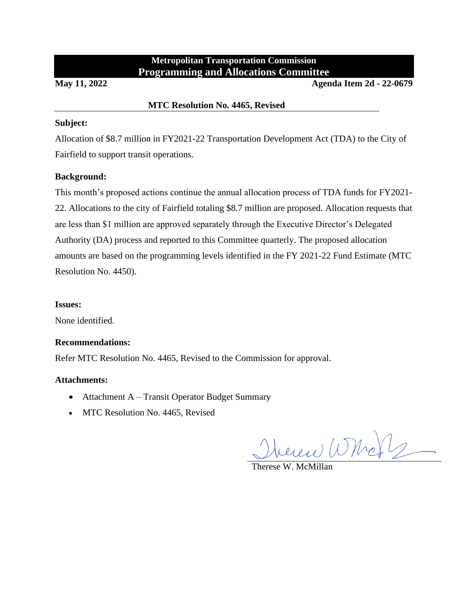# **Metropolitan Transportation Commission Programming and Allocations Committee**

**May 11, 2022 Agenda Item 2d - 22-0679**

## **MTC Resolution No. 4465, Revised**

#### **Subject:**

Allocation of \$8.7 million in FY2021-22 Transportation Development Act (TDA) to the City of Fairfield to support transit operations.

# **Background:**

This month's proposed actions continue the annual allocation process of TDA funds for FY2021- 22. Allocations to the city of Fairfield totaling \$8.7 million are proposed. Allocation requests that are less than \$1 million are approved separately through the Executive Director's Delegated Authority (DA) process and reported to this Committee quarterly. The proposed allocation amounts are based on the programming levels identified in the FY 2021-22 Fund Estimate (MTC Resolution No. 4450).

#### **Issues:**

None identified.

## **Recommendations:**

Refer MTC Resolution No. 4465, Revised to the Commission for approval.

## **Attachments:**

- Attachment A Transit Operator Budget Summary
- MTC Resolution No. 4465, Revised

heren Whole

Therese W. McMillan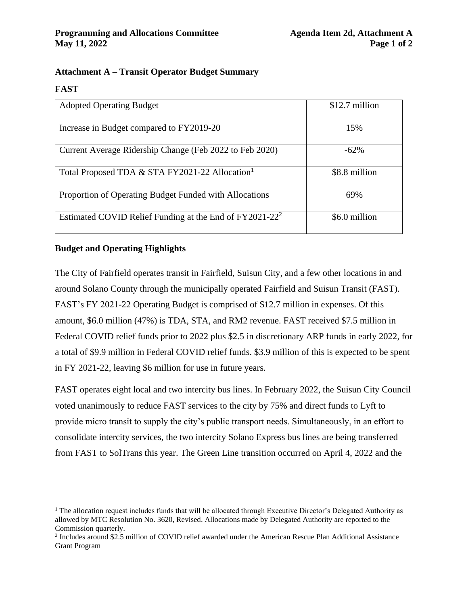# **Attachment A – Transit Operator Budget Summary**

#### **FAST**

| <b>Adopted Operating Budget</b>                            | \$12.7 million |
|------------------------------------------------------------|----------------|
|                                                            |                |
| Increase in Budget compared to FY2019-20                   | 15%            |
|                                                            |                |
| Current Average Ridership Change (Feb 2022 to Feb 2020)    | $-62%$         |
|                                                            |                |
| Total Proposed TDA & STA FY2021-22 Allocation <sup>1</sup> | \$8.8 million  |
|                                                            |                |
| Proportion of Operating Budget Funded with Allocations     | 69%            |
|                                                            |                |
| Estimated COVID Relief Funding at the End of $FY2021-22^2$ | \$6.0 million  |
|                                                            |                |

# **Budget and Operating Highlights**

The City of Fairfield operates transit in Fairfield, Suisun City, and a few other locations in and around Solano County through the municipally operated Fairfield and Suisun Transit (FAST). FAST's FY 2021-22 Operating Budget is comprised of \$12.7 million in expenses. Of this amount, \$6.0 million (47%) is TDA, STA, and RM2 revenue. FAST received \$7.5 million in Federal COVID relief funds prior to 2022 plus \$2.5 in discretionary ARP funds in early 2022, for a total of \$9.9 million in Federal COVID relief funds. \$3.9 million of this is expected to be spent in FY 2021-22, leaving \$6 million for use in future years.

FAST operates eight local and two intercity bus lines. In February 2022, the Suisun City Council voted unanimously to reduce FAST services to the city by 75% and direct funds to Lyft to provide micro transit to supply the city's public transport needs. Simultaneously, in an effort to consolidate intercity services, the two intercity Solano Express bus lines are being transferred from FAST to SolTrans this year. The Green Line transition occurred on April 4, 2022 and the

 $<sup>1</sup>$  The allocation request includes funds that will be allocated through Executive Director's Delegated Authority as</sup> allowed by MTC Resolution No. 3620, Revised. Allocations made by Delegated Authority are reported to the Commission quarterly.

<sup>&</sup>lt;sup>2</sup> Includes around \$2.5 million of COVID relief awarded under the American Rescue Plan Additional Assistance Grant Program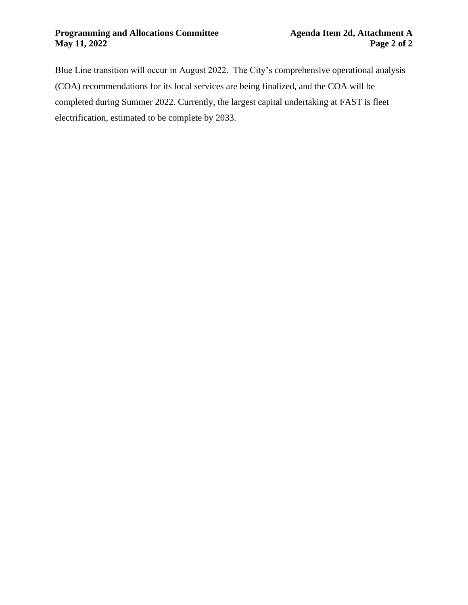Blue Line transition will occur in August 2022. The City's comprehensive operational analysis (COA) recommendations for its local services are being finalized, and the COA will be completed during Summer 2022. Currently, the largest capital undertaking at FAST is fleet electrification, estimated to be complete by 2033.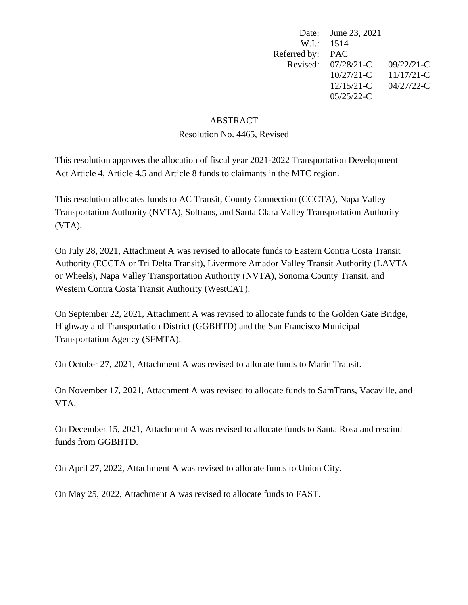|              | Date: June 23, 2021 |              |
|--------------|---------------------|--------------|
| W.I.: 1514   |                     |              |
| Referred by: | <b>PAC</b>          |              |
| Revised:     | $07/28/21-C$        | $09/22/21-C$ |
|              | $10/27/21-C$        | $11/17/21-C$ |
|              | $12/15/21-C$        | 04/27/22-C   |
|              | $05/25/22$ -C       |              |

# ABSTRACT

Resolution No. 4465, Revised

This resolution approves the allocation of fiscal year 2021-2022 Transportation Development Act Article 4, Article 4.5 and Article 8 funds to claimants in the MTC region.

This resolution allocates funds to AC Transit, County Connection (CCCTA), Napa Valley Transportation Authority (NVTA), Soltrans, and Santa Clara Valley Transportation Authority (VTA).

On July 28, 2021, Attachment A was revised to allocate funds to Eastern Contra Costa Transit Authority (ECCTA or Tri Delta Transit), Livermore Amador Valley Transit Authority (LAVTA or Wheels), Napa Valley Transportation Authority (NVTA), Sonoma County Transit, and Western Contra Costa Transit Authority (WestCAT).

On September 22, 2021, Attachment A was revised to allocate funds to the Golden Gate Bridge, Highway and Transportation District (GGBHTD) and the San Francisco Municipal Transportation Agency (SFMTA).

On October 27, 2021, Attachment A was revised to allocate funds to Marin Transit.

On November 17, 2021, Attachment A was revised to allocate funds to SamTrans, Vacaville, and VTA.

On December 15, 2021, Attachment A was revised to allocate funds to Santa Rosa and rescind funds from GGBHTD.

On April 27, 2022, Attachment A was revised to allocate funds to Union City.

On May 25, 2022, Attachment A was revised to allocate funds to FAST.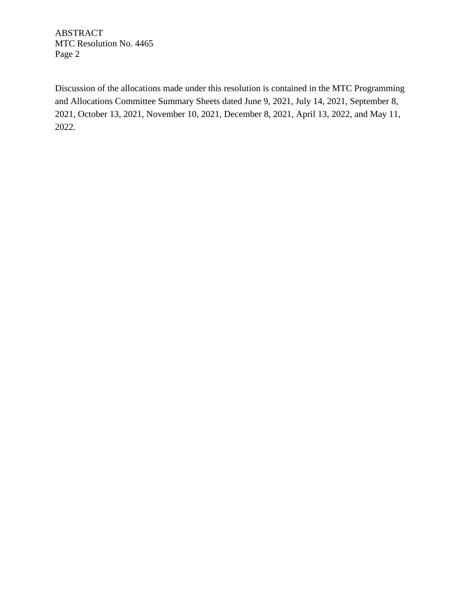ABSTRACT MTC Resolution No. 4465 Page 2

Discussion of the allocations made under this resolution is contained in the MTC Programming and Allocations Committee Summary Sheets dated June 9, 2021, July 14, 2021, September 8, 2021, October 13, 2021, November 10, 2021, December 8, 2021, April 13, 2022, and May 11, 2022.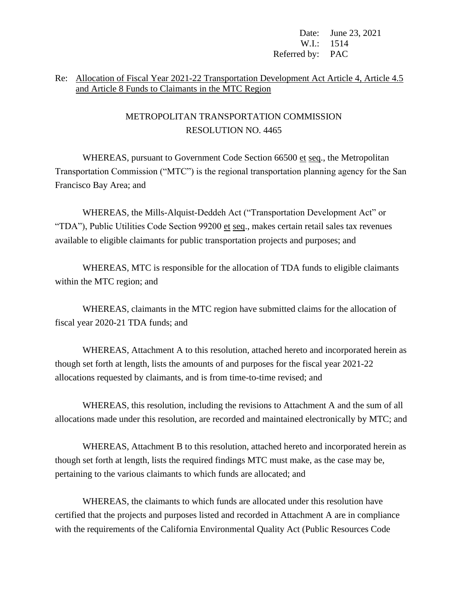Date: June 23, 2021 W.I.: 1514 Referred by: PAC

# Re: Allocation of Fiscal Year 2021-22 Transportation Development Act Article 4, Article 4.5 and Article 8 Funds to Claimants in the MTC Region

# METROPOLITAN TRANSPORTATION COMMISSION RESOLUTION NO. 4465

WHEREAS, pursuant to Government Code Section 66500 et seq., the Metropolitan Transportation Commission ("MTC") is the regional transportation planning agency for the San Francisco Bay Area; and

WHEREAS, the Mills-Alquist-Deddeh Act ("Transportation Development Act" or "TDA"), Public Utilities Code Section 99200 et seq., makes certain retail sales tax revenues available to eligible claimants for public transportation projects and purposes; and

WHEREAS, MTC is responsible for the allocation of TDA funds to eligible claimants within the MTC region; and

WHEREAS, claimants in the MTC region have submitted claims for the allocation of fiscal year 2020-21 TDA funds; and

WHEREAS, Attachment A to this resolution, attached hereto and incorporated herein as though set forth at length, lists the amounts of and purposes for the fiscal year 2021-22 allocations requested by claimants, and is from time-to-time revised; and

WHEREAS, this resolution, including the revisions to Attachment A and the sum of all allocations made under this resolution, are recorded and maintained electronically by MTC; and

WHEREAS, Attachment B to this resolution, attached hereto and incorporated herein as though set forth at length, lists the required findings MTC must make, as the case may be, pertaining to the various claimants to which funds are allocated; and

WHEREAS, the claimants to which funds are allocated under this resolution have certified that the projects and purposes listed and recorded in Attachment A are in compliance with the requirements of the California Environmental Quality Act (Public Resources Code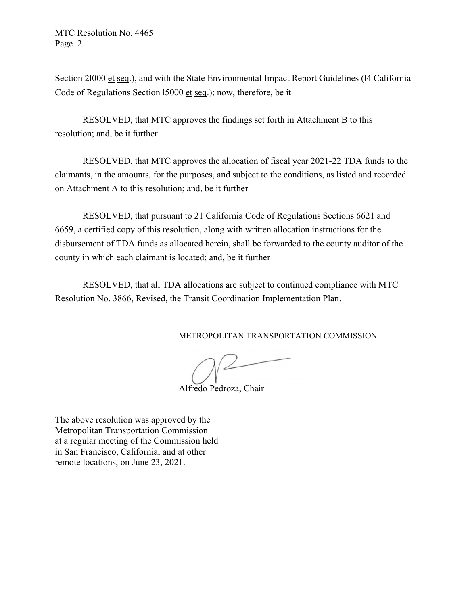MTC Resolution No. 4465 Page 2

Section 2l000 et seq.), and with the State Environmental Impact Report Guidelines (l4 California Code of Regulations Section l5000 et seq.); now, therefore, be it

RESOLVED, that MTC approves the findings set forth in Attachment B to this resolution; and, be it further

RESOLVED, that MTC approves the allocation of fiscal year 2021-22 TDA funds to the claimants, in the amounts, for the purposes, and subject to the conditions, as listed and recorded on Attachment A to this resolution; and, be it further

RESOLVED, that pursuant to 21 California Code of Regulations Sections 6621 and 6659, a certified copy of this resolution, along with written allocation instructions for the disbursement of TDA funds as allocated herein, shall be forwarded to the county auditor of the county in which each claimant is located; and, be it further

RESOLVED, that all TDA allocations are subject to continued compliance with MTC Resolution No. 3866, Revised, the Transit Coordination Implementation Plan.

METROPOLITAN TRANSPORTATION COMMISSION

Alfredo Pedroza, Chair

The above resolution was approved by the Metropolitan Transportation Commission at a regular meeting of the Commission held in San Francisco, California, and at other remote locations, on June 23, 2021.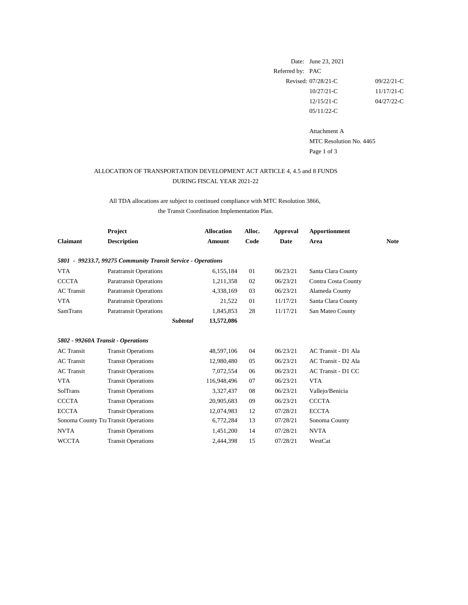|                  | Date: June 23, 2021    |               |
|------------------|------------------------|---------------|
| Referred by: PAC |                        |               |
|                  | Revised: $07/28/21$ -C | $09/22/21-C$  |
|                  | $10/27/21$ -C          | $11/17/21-C$  |
|                  | $12/15/21-C$           | $04/27/22$ -C |
|                  | $05/11/22-C$           |               |

Attachment A MTC Resolution No. 4465 Page 1 of 3

|                   | Project                                                      | <b>Allocation</b> | Alloc. | Approval    | <b>Apportionment</b>       |             |
|-------------------|--------------------------------------------------------------|-------------------|--------|-------------|----------------------------|-------------|
| <b>Claimant</b>   | <b>Description</b>                                           | <b>Amount</b>     | Code   | <b>Date</b> | Area                       | <b>Note</b> |
|                   | 5801 - 99233.7, 99275 Community Transit Service - Operations |                   |        |             |                            |             |
| <b>VTA</b>        | <b>Paratransit Operations</b>                                | 6,155,184         | 01     | 06/23/21    | Santa Clara County         |             |
| <b>CCCTA</b>      | <b>Paratransit Operations</b>                                | 1,211,358         | 02     | 06/23/21    | <b>Contra Costa County</b> |             |
| <b>AC</b> Transit | <b>Paratransit Operations</b>                                | 4,338,169         | 03     | 06/23/21    | Alameda County             |             |
| <b>VTA</b>        | <b>Paratransit Operations</b>                                | 21,522            | 01     | 11/17/21    | Santa Clara County         |             |
| <b>SamTrans</b>   | <b>Paratransit Operations</b>                                | 1,845,853         | 28     | 11/17/21    | San Mateo County           |             |
|                   | Subtotal                                                     | 13,572,086        |        |             |                            |             |
|                   | 5802 - 99260A Transit - Operations                           |                   |        |             |                            |             |
| <b>AC</b> Transit | <b>Transit Operations</b>                                    | 48,597,106        | 04     | 06/23/21    | AC Transit - D1 Ala        |             |
| <b>AC</b> Transit | <b>Transit Operations</b>                                    | 12,980,480        | 05     | 06/23/21    | AC Transit - D2 Ala        |             |
| <b>AC</b> Transit | <b>Transit Operations</b>                                    | 7,072,554         | 06     | 06/23/21    | AC Transit - D1 CC         |             |
| <b>VTA</b>        | <b>Transit Operations</b>                                    | 116,948,496       | 07     | 06/23/21    | <b>VTA</b>                 |             |
| SolTrans          | <b>Transit Operations</b>                                    | 3,327,437         | 08     | 06/23/21    | Vallejo/Benicia            |             |
| <b>CCCTA</b>      | <b>Transit Operations</b>                                    | 20,905,683        | 09     | 06/23/21    | <b>CCCTA</b>               |             |
| <b>ECCTA</b>      | <b>Transit Operations</b>                                    | 12,074,983        | 12     | 07/28/21    | <b>ECCTA</b>               |             |
|                   | Sonoma County Tra Transit Operations                         | 6,772,284         | 13     | 07/28/21    | Sonoma County              |             |
| <b>NVTA</b>       | <b>Transit Operations</b>                                    | 1,451,200         | 14     | 07/28/21    | <b>NVTA</b>                |             |
| <b>WCCTA</b>      | <b>Transit Operations</b>                                    | 2,444,398         | 15     | 07/28/21    | WestCat                    |             |

# DURING FISCAL YEAR 2021-22 ALLOCATION OF TRANSPORTATION DEVELOPMENT ACT ARTICLE 4, 4.5 and 8 FUNDS

# All TDA allocations are subject to continued compliance with MTC Resolution 3866,

the Transit Coordination Implementation Plan.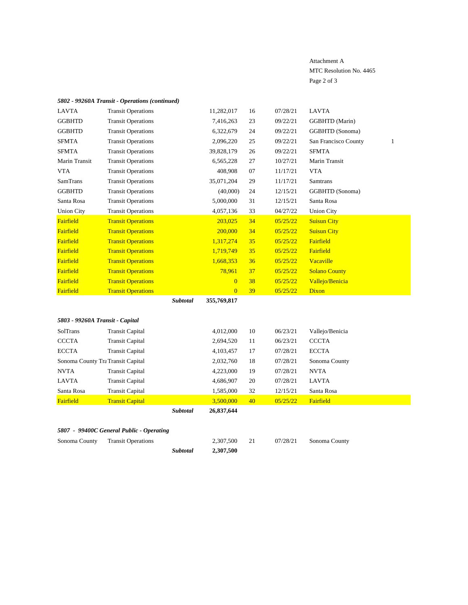# Attachment A MTC Resolution No. 4465 Page 2 of 3

# *5802 - 99260A Transit - Operations (continued)*

|                                 |                                   | Subtotal | 26,837,644     |           |          |                      |              |
|---------------------------------|-----------------------------------|----------|----------------|-----------|----------|----------------------|--------------|
| Fairfield                       | <b>Transit Capital</b>            |          | 3,500,000      | 40        | 05/25/22 | Fairfield            |              |
| Santa Rosa                      | <b>Transit Capital</b>            |          | 1,585,000      | 32        | 12/15/21 | Santa Rosa           |              |
| <b>LAVTA</b>                    | <b>Transit Capital</b>            |          | 4,686,907      | 20        | 07/28/21 | <b>LAVTA</b>         |              |
| <b>NVTA</b>                     | <b>Transit Capital</b>            |          | 4,223,000      | 19        | 07/28/21 | <b>NVTA</b>          |              |
|                                 | Sonoma County Tra Transit Capital |          | 2,032,760      | 18        | 07/28/21 | Sonoma County        |              |
| <b>ECCTA</b>                    | <b>Transit Capital</b>            |          | 4,103,457      | 17        | 07/28/21 | <b>ECCTA</b>         |              |
| <b>CCCTA</b>                    | <b>Transit Capital</b>            |          | 2,694,520      | <b>11</b> | 06/23/21 | <b>CCCTA</b>         |              |
| SolTrans                        | <b>Transit Capital</b>            |          | 4,012,000      | 10        | 06/23/21 | Vallejo/Benicia      |              |
| 5803 - 99260A Transit - Capital |                                   |          |                |           |          |                      |              |
|                                 |                                   | Subtotal | 355,769,817    |           |          |                      |              |
| Fairfield                       | <b>Transit Operations</b>         |          | $\overline{0}$ | 39        | 05/25/22 | Dixon                |              |
| Fairfield                       | <b>Transit Operations</b>         |          | $\overline{0}$ | 38        | 05/25/22 | Vallejo/Benicia      |              |
| Fairfield                       | <b>Transit Operations</b>         |          | 78,961         | 37        | 05/25/22 | <b>Solano County</b> |              |
| Fairfield                       | <b>Transit Operations</b>         |          | 1,668,353      | 36        | 05/25/22 | Vacaville            |              |
| Fairfield                       | <b>Transit Operations</b>         |          | 1,719,749      | 35        | 05/25/22 | Fairfield            |              |
| Fairfield                       | <b>Transit Operations</b>         |          | 1,317,274      | 35        | 05/25/22 | Fairfield            |              |
| Fairfield                       | <b>Transit Operations</b>         |          | 200,000        | 34        | 05/25/22 | <b>Suisun City</b>   |              |
| Fairfield                       | <b>Transit Operations</b>         |          | 203,025        | 34        | 05/25/22 | <b>Suisun City</b>   |              |
| <b>Union City</b>               | <b>Transit Operations</b>         |          | 4,057,136      | 33        | 04/27/22 | <b>Union City</b>    |              |
| Santa Rosa                      | <b>Transit Operations</b>         |          | 5,000,000      | 31        | 12/15/21 | Santa Rosa           |              |
| <b>GGBHTD</b>                   | <b>Transit Operations</b>         |          | (40,000)       | 24        | 12/15/21 | GGBHTD (Sonoma)      |              |
| <b>SamTrans</b>                 | <b>Transit Operations</b>         |          | 35,071,204     | 29        | 11/17/21 | <b>Samtrans</b>      |              |
| <b>VTA</b>                      | <b>Transit Operations</b>         |          | 408,908        | 07        | 11/17/21 | <b>VTA</b>           |              |
| Marin Transit                   | <b>Transit Operations</b>         |          | 6,565,228      | 27        | 10/27/21 | Marin Transit        |              |
| <b>SFMTA</b>                    | <b>Transit Operations</b>         |          | 39,828,179     | 26        | 09/22/21 | <b>SFMTA</b>         |              |
| <b>SFMTA</b>                    | <b>Transit Operations</b>         |          | 2,096,220      | 25        | 09/22/21 | San Francisco County | $\mathbf{1}$ |
| <b>GGBHTD</b>                   | <b>Transit Operations</b>         |          | 6,322,679      | 24        | 09/22/21 | GGBHTD (Sonoma)      |              |
| <b>GGBHTD</b>                   | <b>Transit Operations</b>         |          | 7,416,263      | 23        | 09/22/21 | GGBHTD (Marin)       |              |
| <b>LAVTA</b>                    | <b>Transit Operations</b>         |          | 11,282,017     | 16        | 07/28/21 | <b>LAVTA</b>         |              |

# *5807 - 99400C General Public - Operating*

Sonoma County Transit Operations 2,307,500 21 07/28/21 Sonoma County

*Subtotal* **2,307,500**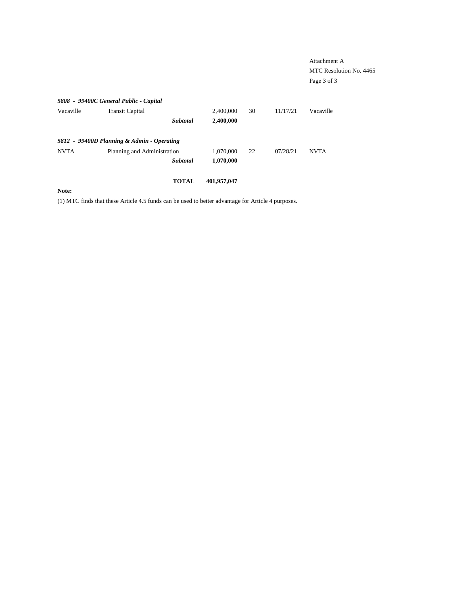|             |                                            |             |    |          | Attachment A<br>MTC Resolution No. 4465<br>Page 3 of 3 |
|-------------|--------------------------------------------|-------------|----|----------|--------------------------------------------------------|
|             | 5808 - 99400C General Public - Capital     |             |    |          |                                                        |
| Vacaville   | <b>Transit Capital</b>                     | 2,400,000   | 30 | 11/17/21 | Vacaville                                              |
|             | <b>Subtotal</b>                            | 2,400,000   |    |          |                                                        |
|             | 5812 - 99400D Planning & Admin - Operating |             |    |          |                                                        |
| <b>NVTA</b> | Planning and Administration                | 1,070,000   | 22 | 07/28/21 | <b>NVTA</b>                                            |
|             | Subtotal                                   | 1,070,000   |    |          |                                                        |
|             | <b>TOTAL</b>                               | 401,957,047 |    |          |                                                        |
| Note:       |                                            |             |    |          |                                                        |

(1) MTC finds that these Article 4.5 funds can be used to better advantage for Article 4 purposes.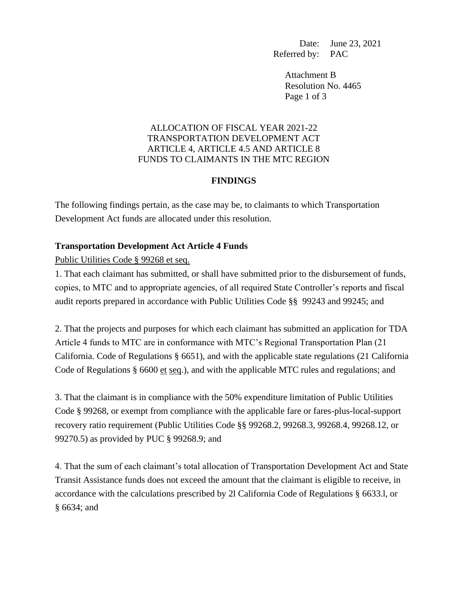Date: June 23, 2021 Referred by: PAC

Attachment B Resolution No. 4465 Page 1 of 3

# ALLOCATION OF FISCAL YEAR 2021-22 TRANSPORTATION DEVELOPMENT ACT ARTICLE 4, ARTICLE 4.5 AND ARTICLE 8 FUNDS TO CLAIMANTS IN THE MTC REGION

# **FINDINGS**

The following findings pertain, as the case may be, to claimants to which Transportation Development Act funds are allocated under this resolution.

# **Transportation Development Act Article 4 Funds**

Public Utilities Code § 99268 et seq.

1. That each claimant has submitted, or shall have submitted prior to the disbursement of funds, copies, to MTC and to appropriate agencies, of all required State Controller's reports and fiscal audit reports prepared in accordance with Public Utilities Code §§ 99243 and 99245; and

2. That the projects and purposes for which each claimant has submitted an application for TDA Article 4 funds to MTC are in conformance with MTC's Regional Transportation Plan (21 California. Code of Regulations § 6651), and with the applicable state regulations (21 California Code of Regulations § 6600 et seq.), and with the applicable MTC rules and regulations; and

3. That the claimant is in compliance with the 50% expenditure limitation of Public Utilities Code § 99268, or exempt from compliance with the applicable fare or fares-plus-local-support recovery ratio requirement (Public Utilities Code §§ 99268.2, 99268.3, 99268.4, 99268.12, or 99270.5) as provided by PUC § 99268.9; and

4. That the sum of each claimant's total allocation of Transportation Development Act and State Transit Assistance funds does not exceed the amount that the claimant is eligible to receive, in accordance with the calculations prescribed by 2l California Code of Regulations § 6633.l, or § 6634; and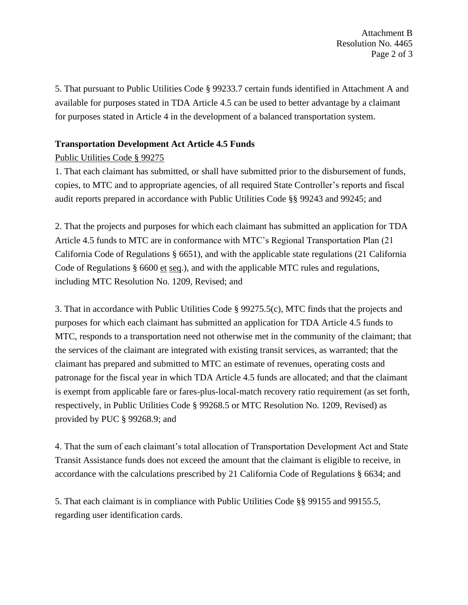Attachment B Resolution No. 4465 Page 2 of 3

5. That pursuant to Public Utilities Code § 99233.7 certain funds identified in Attachment A and available for purposes stated in TDA Article 4.5 can be used to better advantage by a claimant for purposes stated in Article 4 in the development of a balanced transportation system.

# **Transportation Development Act Article 4.5 Funds**

# Public Utilities Code § 99275

1. That each claimant has submitted, or shall have submitted prior to the disbursement of funds, copies, to MTC and to appropriate agencies, of all required State Controller's reports and fiscal audit reports prepared in accordance with Public Utilities Code §§ 99243 and 99245; and

2. That the projects and purposes for which each claimant has submitted an application for TDA Article 4.5 funds to MTC are in conformance with MTC's Regional Transportation Plan (21 California Code of Regulations § 6651), and with the applicable state regulations (21 California Code of Regulations  $\S$  6600 et seq.), and with the applicable MTC rules and regulations, including MTC Resolution No. 1209, Revised; and

3. That in accordance with Public Utilities Code § 99275.5(c), MTC finds that the projects and purposes for which each claimant has submitted an application for TDA Article 4.5 funds to MTC, responds to a transportation need not otherwise met in the community of the claimant; that the services of the claimant are integrated with existing transit services, as warranted; that the claimant has prepared and submitted to MTC an estimate of revenues, operating costs and patronage for the fiscal year in which TDA Article 4.5 funds are allocated; and that the claimant is exempt from applicable fare or fares-plus-local-match recovery ratio requirement (as set forth, respectively, in Public Utilities Code § 99268.5 or MTC Resolution No. 1209, Revised) as provided by PUC § 99268.9; and

4. That the sum of each claimant's total allocation of Transportation Development Act and State Transit Assistance funds does not exceed the amount that the claimant is eligible to receive, in accordance with the calculations prescribed by 21 California Code of Regulations § 6634; and

5. That each claimant is in compliance with Public Utilities Code §§ 99155 and 99155.5, regarding user identification cards.